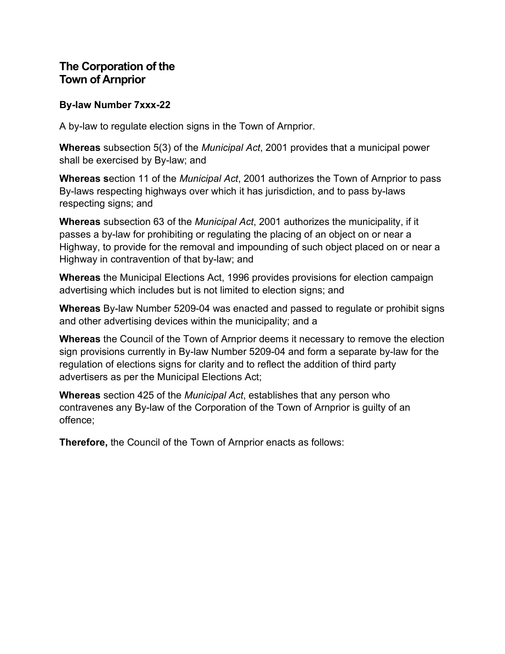## **The Corporation of the Town of Arnprior**

#### **By-law Number 7xxx-22**

A by-law to regulate election signs in the Town of Arnprior.

**Whereas** subsection 5(3) of the *Municipal Act*, 2001 provides that a municipal power shall be exercised by By-law; and

**Whereas s**ection 11 of the *Municipal Act*, 2001 authorizes the Town of Arnprior to pass By-laws respecting highways over which it has jurisdiction, and to pass by-laws respecting signs; and

**Whereas** subsection 63 of the *Municipal Act*, 2001 authorizes the municipality, if it passes a by-law for prohibiting or regulating the placing of an object on or near a Highway, to provide for the removal and impounding of such object placed on or near a Highway in contravention of that by-law; and

**Whereas** the Municipal Elections Act, 1996 provides provisions for election campaign advertising which includes but is not limited to election signs; and

**Whereas** By-law Number 5209-04 was enacted and passed to regulate or prohibit signs and other advertising devices within the municipality; and a

**Whereas** the Council of the Town of Arnprior deems it necessary to remove the election sign provisions currently in By-law Number 5209-04 and form a separate by-law for the regulation of elections signs for clarity and to reflect the addition of third party advertisers as per the Municipal Elections Act;

**Whereas** section 425 of the *Municipal Act*, establishes that any person who contravenes any By-law of the Corporation of the Town of Arnprior is guilty of an offence;

**Therefore,** the Council of the Town of Arnprior enacts as follows: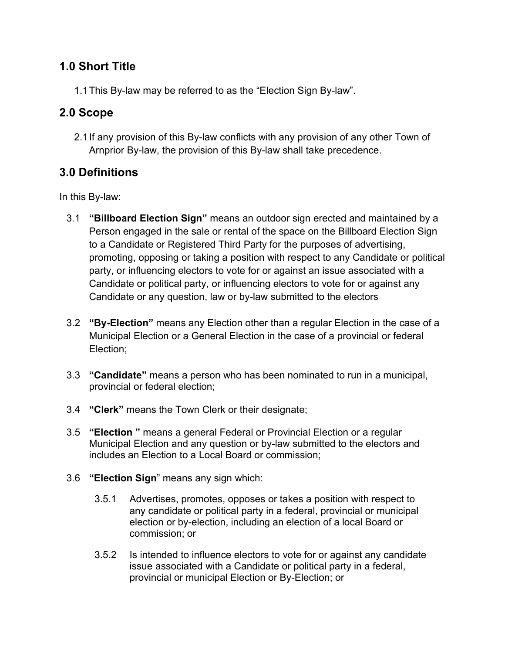## **1.0 Short Title**

1.1This By-law may be referred to as the "Election Sign By-law".

# **2.0 Scope**

2.1If any provision of this By-law conflicts with any provision of any other Town of Arnprior By-law, the provision of this By-law shall take precedence.

# **3.0 Definitions**

In this By-law:

- 3.1 **"Billboard Election Sign"** means an outdoor sign erected and maintained by a Person engaged in the sale or rental of the space on the Billboard Election Sign to a Candidate or Registered Third Party for the purposes of advertising, promoting, opposing or taking a position with respect to any Candidate or political party, or influencing electors to vote for or against an issue associated with a Candidate or political party, or influencing electors to vote for or against any Candidate or any question, law or by-law submitted to the electors
- 3.2 **"By-Election"** means any Election other than a regular Election in the case of a Municipal Election or a General Election in the case of a provincial or federal Election;
- 3.3 **"Candidate"** means a person who has been nominated to run in a municipal, provincial or federal election;
- 3.4 **"Clerk"** means the Town Clerk or their designate;
- 3.5 **"Election "** means a general Federal or Provincial Election or a regular Municipal Election and any question or by-law submitted to the electors and includes an Election to a Local Board or commission;
- 3.6 **"Election Sign**" means any sign which:
	- 3.5.1 Advertises, promotes, opposes or takes a position with respect to any candidate or political party in a federal, provincial or municipal election or by-election, including an election of a local Board or commission; or
	- 3.5.2 Is intended to influence electors to vote for or against any candidate issue associated with a Candidate or political party in a federal, provincial or municipal Election or By-Election; or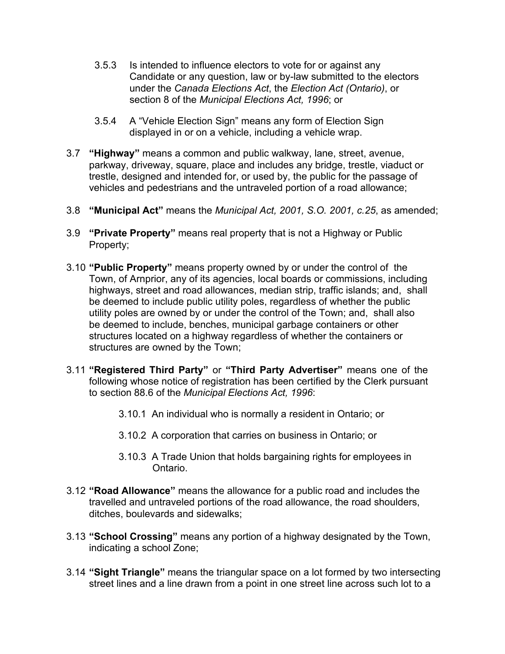- 3.5.3 Is intended to influence electors to vote for or against any Candidate or any question, law or by-law submitted to the electors under the *Canada Elections Act*, the *Election Act (Ontario)*, or section 8 of the *Municipal Elections Act, 1996*; or
- 3.5.4 A "Vehicle Election Sign" means any form of Election Sign displayed in or on a vehicle, including a vehicle wrap.
- 3.7 **"Highway"** means a common and public walkway, lane, street, avenue, parkway, driveway, square, place and includes any bridge, trestle, viaduct or trestle, designed and intended for, or used by, the public for the passage of vehicles and pedestrians and the untraveled portion of a road allowance;
- 3.8 **"Municipal Act"** means the *Municipal Act, 2001, S.O. 2001, c.25*, as amended;
- 3.9 **"Private Property"** means real property that is not a Highway or Public Property;
- 3.10 **"Public Property"** means property owned by or under the control of the Town, of Arnprior, any of its agencies, local boards or commissions, including highways, street and road allowances, median strip, traffic islands; and, shall be deemed to include public utility poles, regardless of whether the public utility poles are owned by or under the control of the Town; and, shall also be deemed to include, benches, municipal garbage containers or other structures located on a highway regardless of whether the containers or structures are owned by the Town;
- 3.11 **"Registered Third Party"** or **"Third Party Advertiser"** means one of the following whose notice of registration has been certified by the Clerk pursuant to section 88.6 of the *Municipal Elections Act, 1996*:
	- 3.10.1 An individual who is normally a resident in Ontario; or
	- 3.10.2 A corporation that carries on business in Ontario; or
	- 3.10.3 A Trade Union that holds bargaining rights for employees in Ontario.
- 3.12 **"Road Allowance"** means the allowance for a public road and includes the travelled and untraveled portions of the road allowance, the road shoulders, ditches, boulevards and sidewalks;
- 3.13 **"School Crossing"** means any portion of a highway designated by the Town, indicating a school Zone;
- 3.14 **"Sight Triangle"** means the triangular space on a lot formed by two intersecting street lines and a line drawn from a point in one street line across such lot to a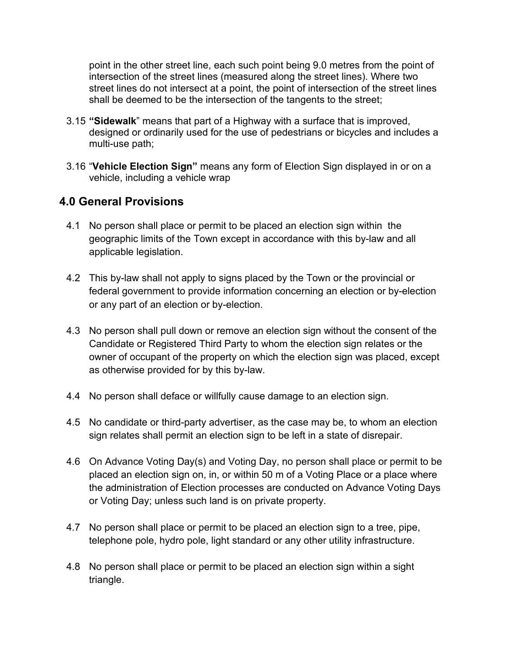point in the other street line, each such point being 9.0 metres from the point of intersection of the street lines (measured along the street lines). Where two street lines do not intersect at a point, the point of intersection of the street lines shall be deemed to be the intersection of the tangents to the street;

- 3.15 **"Sidewalk**" means that part of a Highway with a surface that is improved, designed or ordinarily used for the use of pedestrians or bicycles and includes a multi-use path;
- 3.16 "**Vehicle Election Sign"** means any form of Election Sign displayed in or on a vehicle, including a vehicle wrap

## **4.0 General Provisions**

- 4.1 No person shall place or permit to be placed an election sign within the geographic limits of the Town except in accordance with this by-law and all applicable legislation.
- 4.2 This by-law shall not apply to signs placed by the Town or the provincial or federal government to provide information concerning an election or by-election or any part of an election or by-election.
- 4.3 No person shall pull down or remove an election sign without the consent of the Candidate or Registered Third Party to whom the election sign relates or the owner of occupant of the property on which the election sign was placed, except as otherwise provided for by this by-law.
- 4.4 No person shall deface or willfully cause damage to an election sign.
- 4.5 No candidate or third-party advertiser, as the case may be, to whom an election sign relates shall permit an election sign to be left in a state of disrepair.
- 4.6 On Advance Voting Day(s) and Voting Day, no person shall place or permit to be placed an election sign on, in, or within 50 m of a Voting Place or a place where the administration of Election processes are conducted on Advance Voting Days or Voting Day; unless such land is on private property.
- 4.7 No person shall place or permit to be placed an election sign to a tree, pipe, telephone pole, hydro pole, light standard or any other utility infrastructure.
- 4.8 No person shall place or permit to be placed an election sign within a sight triangle.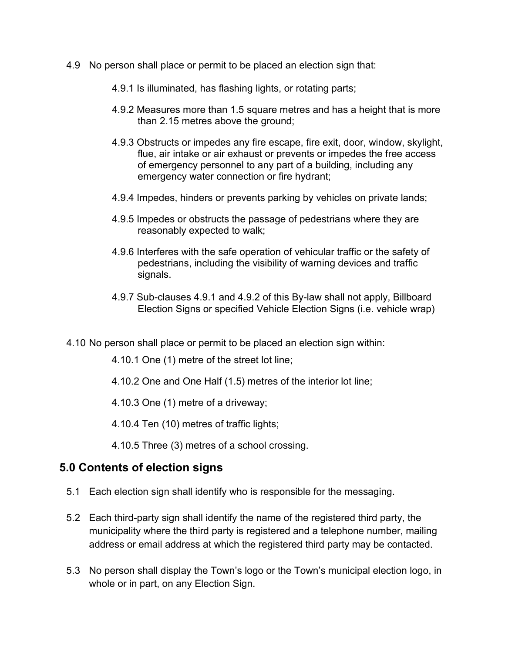- 4.9 No person shall place or permit to be placed an election sign that:
	- 4.9.1 Is illuminated, has flashing lights, or rotating parts;
	- 4.9.2 Measures more than 1.5 square metres and has a height that is more than 2.15 metres above the ground;
	- 4.9.3 Obstructs or impedes any fire escape, fire exit, door, window, skylight, flue, air intake or air exhaust or prevents or impedes the free access of emergency personnel to any part of a building, including any emergency water connection or fire hydrant;
	- 4.9.4 Impedes, hinders or prevents parking by vehicles on private lands;
	- 4.9.5 Impedes or obstructs the passage of pedestrians where they are reasonably expected to walk;
	- 4.9.6 Interferes with the safe operation of vehicular traffic or the safety of pedestrians, including the visibility of warning devices and traffic signals.
	- 4.9.7 Sub-clauses 4.9.1 and 4.9.2 of this By-law shall not apply, Billboard Election Signs or specified Vehicle Election Signs (i.e. vehicle wrap)
- 4.10 No person shall place or permit to be placed an election sign within:
	- 4.10.1 One (1) metre of the street lot line;
	- 4.10.2 One and One Half (1.5) metres of the interior lot line;
	- 4.10.3 One (1) metre of a driveway;
	- 4.10.4 Ten (10) metres of traffic lights;
	- 4.10.5 Three (3) metres of a school crossing.

#### **5.0 Contents of election signs**

- 5.1 Each election sign shall identify who is responsible for the messaging.
- 5.2 Each third-party sign shall identify the name of the registered third party, the municipality where the third party is registered and a telephone number, mailing address or email address at which the registered third party may be contacted.
- 5.3 No person shall display the Town's logo or the Town's municipal election logo, in whole or in part, on any Election Sign.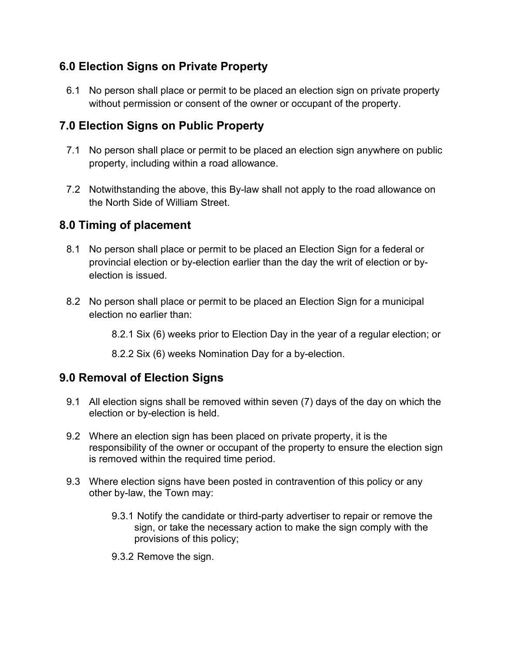## **6.0 Election Signs on Private Property**

6.1 No person shall place or permit to be placed an election sign on private property without permission or consent of the owner or occupant of the property.

## **7.0 Election Signs on Public Property**

- 7.1 No person shall place or permit to be placed an election sign anywhere on public property, including within a road allowance.
- 7.2 Notwithstanding the above, this By-law shall not apply to the road allowance on the North Side of William Street.

## **8.0 Timing of placement**

- 8.1 No person shall place or permit to be placed an Election Sign for a federal or provincial election or by-election earlier than the day the writ of election or byelection is issued.
- 8.2 No person shall place or permit to be placed an Election Sign for a municipal election no earlier than:

8.2.1 Six (6) weeks prior to Election Day in the year of a regular election; or

8.2.2 Six (6) weeks Nomination Day for a by-election.

## **9.0 Removal of Election Signs**

- 9.1 All election signs shall be removed within seven (7) days of the day on which the election or by-election is held.
- 9.2 Where an election sign has been placed on private property, it is the responsibility of the owner or occupant of the property to ensure the election sign is removed within the required time period.
- 9.3 Where election signs have been posted in contravention of this policy or any other by-law, the Town may:
	- 9.3.1 Notify the candidate or third-party advertiser to repair or remove the sign, or take the necessary action to make the sign comply with the provisions of this policy;
	- 9.3.2 Remove the sign.